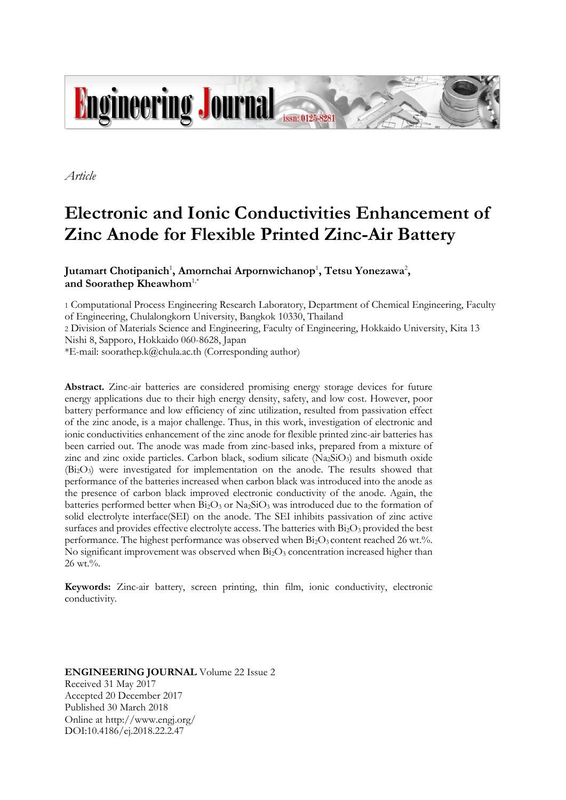

*Article*

# **Electronic and Ionic Conductivities Enhancement of Zinc Anode for Flexible Printed Zinc-Air Battery**

Jutamart Chotipanich<sup>1</sup>, Amornchai Arpornwichanop<sup>1</sup>, Tetsu Yonezawa<sup>2</sup>, **and Soorathep Kheawhom**1,\*

1 Computational Process Engineering Research Laboratory, Department of Chemical Engineering, Faculty of Engineering, Chulalongkorn University, Bangkok 10330, Thailand

2 Division of Materials Science and Engineering, Faculty of Engineering, Hokkaido University, Kita 13 Nishi 8, Sapporo, Hokkaido 060-8628, Japan

\*E-mail: soorathep.k@chula.ac.th (Corresponding author)

**Abstract.** Zinc-air batteries are considered promising energy storage devices for future energy applications due to their high energy density, safety, and low cost. However, poor battery performance and low efficiency of zinc utilization, resulted from passivation effect of the zinc anode, is a major challenge. Thus, in this work, investigation of electronic and ionic conductivities enhancement of the zinc anode for flexible printed zinc-air batteries has been carried out. The anode was made from zinc-based inks, prepared from a mixture of zinc and zinc oxide particles. Carbon black, sodium silicate  $(Na_2SiO_3)$  and bismuth oxide (Bi2O3) were investigated for implementation on the anode. The results showed that performance of the batteries increased when carbon black was introduced into the anode as the presence of carbon black improved electronic conductivity of the anode. Again, the batteries performed better when  $\overline{Bi_2O_3}$  or  $\overline{Na_2SiO_3}$  was introduced due to the formation of solid electrolyte interface(SEI) on the anode. The SEI inhibits passivation of zinc active surfaces and provides effective electrolyte access. The batteries with  $Bi<sub>2</sub>O<sub>3</sub>$  provided the best performance. The highest performance was observed when  $Bi_2O_3$  content reached 26 wt.%. No significant improvement was observed when  $Bi<sub>2</sub>O<sub>3</sub>$  concentration increased higher than 26 wt.%.

**Keywords:** Zinc-air battery, screen printing, thin film, ionic conductivity, electronic conductivity.

**ENGINEERING JOURNAL** Volume 22 Issue 2 Received 31 May 2017 Accepted 20 December 2017 Published 30 March 2018 Online at http://www.engj.org/ DOI:10.4186/ej.2018.22.2.47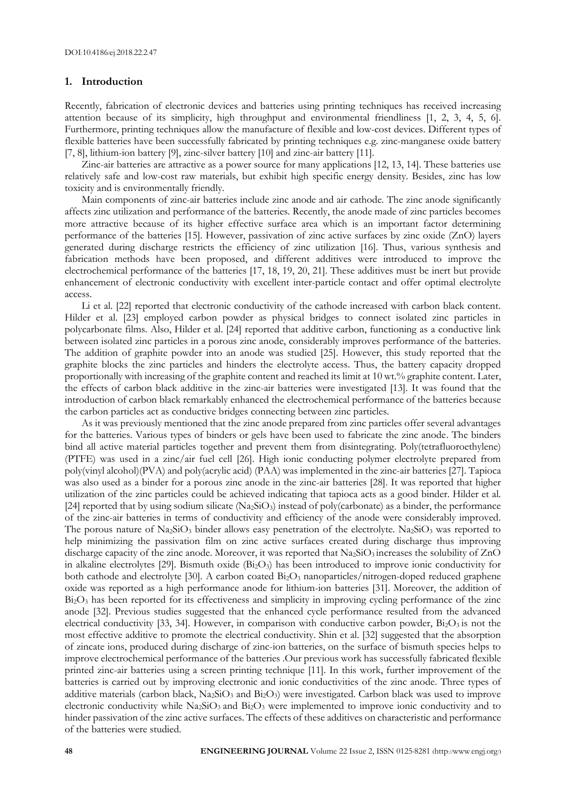#### **1. Introduction**

Recently, fabrication of electronic devices and batteries using printing techniques has received increasing attention because of its simplicity, high throughput and environmental friendliness [1, 2, 3, 4, 5, 6]. Furthermore, printing techniques allow the manufacture of flexible and low-cost devices. Different types of flexible batteries have been successfully fabricated by printing techniques e.g. zinc-manganese oxide battery [7, 8], lithium-ion battery [9], zinc-silver battery [10] and zinc-air battery [11].

Zinc-air batteries are attractive as a power source for many applications [12, 13, 14]. These batteries use relatively safe and low-cost raw materials, but exhibit high specific energy density. Besides, zinc has low toxicity and is environmentally friendly.

Main components of zinc-air batteries include zinc anode and air cathode. The zinc anode significantly affects zinc utilization and performance of the batteries. Recently, the anode made of zinc particles becomes more attractive because of its higher effective surface area which is an important factor determining performance of the batteries [15]. However, passivation of zinc active surfaces by zinc oxide (ZnO) layers generated during discharge restricts the efficiency of zinc utilization [16]. Thus, various synthesis and fabrication methods have been proposed, and different additives were introduced to improve the electrochemical performance of the batteries [17, 18, 19, 20, 21]. These additives must be inert but provide enhancement of electronic conductivity with excellent inter-particle contact and offer optimal electrolyte access.

Li et al. [22] reported that electronic conductivity of the cathode increased with carbon black content. Hilder et al. [23] employed carbon powder as physical bridges to connect isolated zinc particles in polycarbonate films. Also, Hilder et al. [24] reported that additive carbon, functioning as a conductive link between isolated zinc particles in a porous zinc anode, considerably improves performance of the batteries. The addition of graphite powder into an anode was studied [25]. However, this study reported that the graphite blocks the zinc particles and hinders the electrolyte access. Thus, the battery capacity dropped proportionally with increasing of the graphite content and reached its limit at 10 wt.% graphite content. Later, the effects of carbon black additive in the zinc-air batteries were investigated [13]. It was found that the introduction of carbon black remarkably enhanced the electrochemical performance of the batteries because the carbon particles act as conductive bridges connecting between zinc particles.

As it was previously mentioned that the zinc anode prepared from zinc particles offer several advantages for the batteries. Various types of binders or gels have been used to fabricate the zinc anode. The binders bind all active material particles together and prevent them from disintegrating. Poly(tetrafluoroethylene) (PTFE) was used in a zinc/air fuel cell [26]. High ionic conducting polymer electrolyte prepared from poly(vinyl alcohol)(PVA) and poly(acrylic acid) (PAA) was implemented in the zinc-air batteries [27]. Tapioca was also used as a binder for a porous zinc anode in the zinc-air batteries [28]. It was reported that higher utilization of the zinc particles could be achieved indicating that tapioca acts as a good binder. Hilder et al. [24] reported that by using sodium silicate (Na<sub>2</sub>SiO<sub>3</sub>) instead of poly(carbonate) as a binder, the performance of the zinc-air batteries in terms of conductivity and efficiency of the anode were considerably improved. The porous nature of Na<sub>2</sub>SiO<sub>3</sub> binder allows easy penetration of the electrolyte. Na<sub>2</sub>SiO<sub>3</sub> was reported to help minimizing the passivation film on zinc active surfaces created during discharge thus improving discharge capacity of the zinc anode. Moreover, it was reported that Na2SiO3 increases the solubility of ZnO in alkaline electrolytes [29]. Bismuth oxide  $(Bi<sub>2</sub>O<sub>3</sub>)$  has been introduced to improve ionic conductivity for both cathode and electrolyte [30]. A carbon coated Bi<sub>2</sub>O<sub>3</sub> nanoparticles/nitrogen-doped reduced graphene oxide was reported as a high performance anode for lithium-ion batteries [31]. Moreover, the addition of  $Bi<sub>2</sub>O<sub>3</sub>$  has been reported for its effectiveness and simplicity in improving cycling performance of the zinc anode [32]. Previous studies suggested that the enhanced cycle performance resulted from the advanced electrical conductivity [33, 34]. However, in comparison with conductive carbon powder,  $Bi<sub>2</sub>O<sub>3</sub>$  is not the most effective additive to promote the electrical conductivity. Shin et al. [32] suggested that the absorption of zincate ions, produced during discharge of zinc-ion batteries, on the surface of bismuth species helps to improve electrochemical performance of the batteries .Our previous work has successfully fabricated flexible printed zinc-air batteries using a screen printing technique [11]. In this work, further improvement of the batteries is carried out by improving electronic and ionic conductivities of the zinc anode. Three types of additive materials (carbon black,  $Na<sub>2</sub>SiO<sub>3</sub>$  and  $Bi<sub>2</sub>O<sub>3</sub>$ ) were investigated. Carbon black was used to improve electronic conductivity while Na<sub>2</sub>SiO<sub>3</sub> and Bi<sub>2</sub>O<sub>3</sub> were implemented to improve ionic conductivity and to hinder passivation of the zinc active surfaces. The effects of these additives on characteristic and performance of the batteries were studied.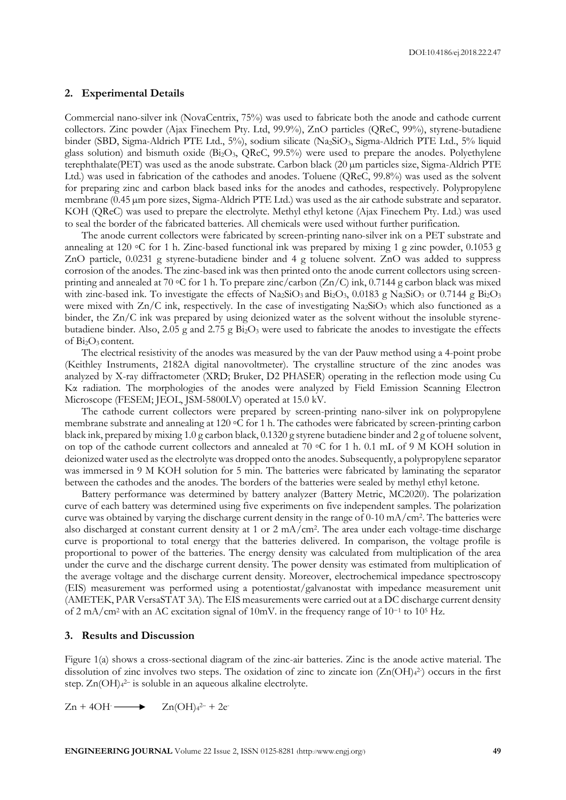#### **2. Experimental Details**

Commercial nano-silver ink (NovaCentrix, 75%) was used to fabricate both the anode and cathode current collectors. Zinc powder (Ajax Finechem Pty. Ltd, 99.9%), ZnO particles (QReC, 99%), styrene-butadiene binder (SBD, Sigma-Aldrich PTE Ltd., 5%), sodium silicate (Na2SiO3, Sigma-Aldrich PTE Ltd., 5% liquid glass solution) and bismuth oxide (Bi2O3, QReC, 99.5%) were used to prepare the anodes. Polyethylene terephthalate(PET) was used as the anode substrate. Carbon black (20 µm particles size, Sigma-Aldrich PTE Ltd.) was used in fabrication of the cathodes and anodes. Toluene (QReC, 99.8%) was used as the solvent for preparing zinc and carbon black based inks for the anodes and cathodes, respectively. Polypropylene membrane (0.45 µm pore sizes, Sigma-Aldrich PTE Ltd.) was used as the air cathode substrate and separator. KOH (QReC) was used to prepare the electrolyte. Methyl ethyl ketone (Ajax Finechem Pty. Ltd.) was used to seal the border of the fabricated batteries. All chemicals were used without further purification.

The anode current collectors were fabricated by screen-printing nano-silver ink on a PET substrate and annealing at 120  $\circ$ C for 1 h. Zinc-based functional ink was prepared by mixing 1 g zinc powder, 0.1053 g ZnO particle, 0.0231 g styrene-butadiene binder and 4 g toluene solvent. ZnO was added to suppress corrosion of the anodes. The zinc-based ink was then printed onto the anode current collectors using screenprinting and annealed at 70 °C for 1 h. To prepare zinc/carbon  $(Zn/C)$  ink, 0.7144 g carbon black was mixed with zinc-based ink. To investigate the effects of Na<sub>2</sub>SiO<sub>3</sub> and Bi<sub>2</sub>O<sub>3</sub>, 0.0183 g Na<sub>2</sub>SiO<sub>3</sub> or 0.7144 g Bi<sub>2</sub>O<sub>3</sub> were mixed with  $Zn/C$  ink, respectively. In the case of investigating  $Na<sub>2</sub>SiO<sub>3</sub>$  which also functioned as a binder, the Zn/C ink was prepared by using deionized water as the solvent without the insoluble styrenebutadiene binder. Also,  $2.05$  g and  $2.75$  g  $Bi<sub>2</sub>O<sub>3</sub>$  were used to fabricate the anodes to investigate the effects of Bi2O<sup>3</sup> content.

The electrical resistivity of the anodes was measured by the van der Pauw method using a 4-point probe (Keithley Instruments, 2182A digital nanovoltmeter). The crystalline structure of the zinc anodes was analyzed by X-ray diffractometer (XRD; Bruker, D2 PHASER) operating in the reflection mode using Cu Kα radiation. The morphologies of the anodes were analyzed by Field Emission Scanning Electron Microscope (FESEM; JEOL, JSM-5800LV) operated at 15.0 kV.

The cathode current collectors were prepared by screen-printing nano-silver ink on polypropylene membrane substrate and annealing at 120 ◦C for 1 h. The cathodes were fabricated by screen-printing carbon black ink, prepared by mixing 1.0 g carbon black, 0.1320 g styrene butadiene binder and 2 g of toluene solvent, on top of the cathode current collectors and annealed at 70 ◦C for 1 h. 0.1 mL of 9 M KOH solution in deionized water used as the electrolyte was dropped onto the anodes. Subsequently, a polypropylene separator was immersed in 9 M KOH solution for 5 min. The batteries were fabricated by laminating the separator between the cathodes and the anodes. The borders of the batteries were sealed by methyl ethyl ketone.

Battery performance was determined by battery analyzer (Battery Metric, MC2020). The polarization curve of each battery was determined using five experiments on five independent samples. The polarization curve was obtained by varying the discharge current density in the range of 0-10 mA/cm<sup>2</sup> . The batteries were also discharged at constant current density at 1 or 2 mA/cm<sup>2</sup> . The area under each voltage-time discharge curve is proportional to total energy that the batteries delivered. In comparison, the voltage profile is proportional to power of the batteries. The energy density was calculated from multiplication of the area under the curve and the discharge current density. The power density was estimated from multiplication of the average voltage and the discharge current density. Moreover, electrochemical impedance spectroscopy (EIS) measurement was performed using a potentiostat/galvanostat with impedance measurement unit (AMETEK, PAR VersaSTAT 3A). The EIS measurements were carried out at a DC discharge current density of 2 mA/cm<sup>2</sup> with an AC excitation signal of 10mV. in the frequency range of 10<sup>-1</sup> to 10<sup>5</sup> Hz.

#### **3. Results and Discussion**

Figure 1(a) shows a cross-sectional diagram of the zinc-air batteries. Zinc is the anode active material. The dissolution of zinc involves two steps. The oxidation of zinc to zincate ion  $(Zn(OH)<sub>4</sub><sup>2</sup>)$  occurs in the first step. Zn(OH)<sup>4</sup> <sup>2</sup>– is soluble in an aqueous alkaline electrolyte.

$$
Zn + 4OH \longrightarrow Zn(OH)42- + 2e
$$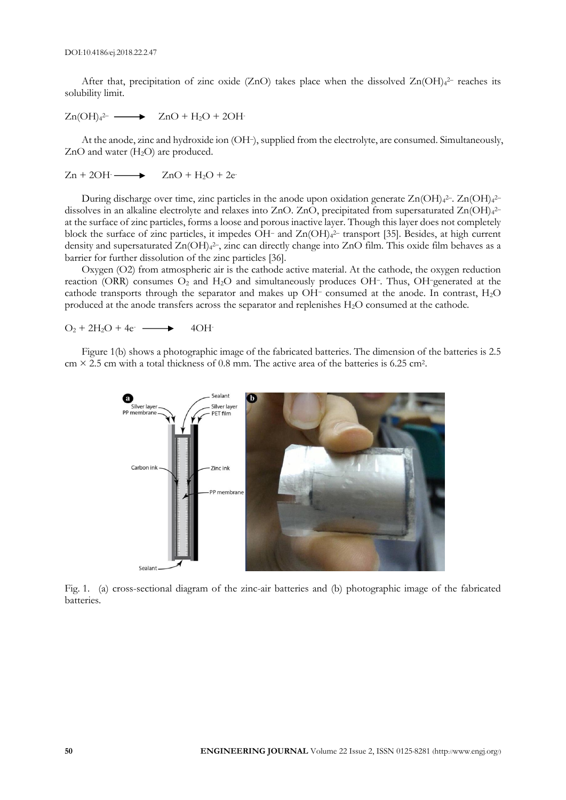After that, precipitation of zinc oxide (ZnO) takes place when the dissolved  $Zn(OH)_{4}^{2-}$  reaches its solubility limit.

$$
Zn(OH)42- \longrightarrow ZnO + H2O + 2OH
$$

At the anode, zinc and hydroxide ion (OH–), supplied from the electrolyte, are consumed. Simultaneously,  $ZnO$  and water  $(H<sub>2</sub>O)$  are produced.

$$
Zn + 2OH \longrightarrow ZnO + H_2O + 2e
$$

During discharge over time, zinc particles in the anode upon oxidation generate Zn(OH)<sub>4</sub>2-. Zn(OH)<sub>4</sub>2dissolves in an alkaline electrolyte and relaxes into ZnO. ZnO, precipitated from supersaturated Zn(OH)<sub>4</sub><sup>2-</sup> at the surface of zinc particles, forms a loose and porous inactive layer. Though this layer does not completely block the surface of zinc particles, it impedes OH– and Zn(OH)<sup>4</sup> <sup>2</sup>– transport [35]. Besides, at high current density and supersaturated Zn(OH)<sub>4</sub><sup>2-</sup>, zinc can directly change into ZnO film. This oxide film behaves as a barrier for further dissolution of the zinc particles [36].

Oxygen (O2) from atmospheric air is the cathode active material. At the cathode, the oxygen reduction reaction (ORR) consumes  $O_2$  and  $H_2O$  and simultaneously produces OH–. Thus, OH–generated at the cathode transports through the separator and makes up OH– consumed at the anode. In contrast, H2O produced at the anode transfers across the separator and replenishes H2O consumed at the cathode.

$$
O_2 + 2H_2O + 4e^- \longrightarrow 4OH^-
$$

Figure 1(b) shows a photographic image of the fabricated batteries. The dimension of the batteries is 2.5  $cm \times 2.5$  cm with a total thickness of 0.8 mm. The active area of the batteries is 6.25 cm<sup>2</sup>.



Fig. 1. (a) cross-sectional diagram of the zinc-air batteries and (b) photographic image of the fabricated batteries.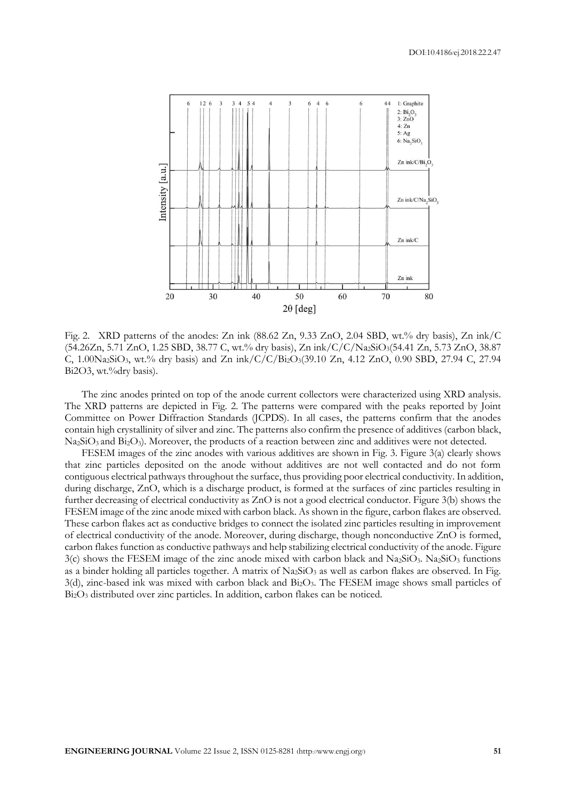

Fig. 2. XRD patterns of the anodes: Zn ink (88.62 Zn, 9.33 ZnO, 2.04 SBD, wt.% dry basis), Zn ink/C (54.26Zn, 5.71 ZnO, 1.25 SBD, 38.77 C, wt.% dry basis), Zn ink/C/C/Na2SiO3(54.41 Zn, 5.73 ZnO, 38.87 C,  $1.00\text{Na}_2\text{SiO}_3$ , wt.% dry basis) and Zn ink/C/C/Bi<sub>2</sub>O<sub>3</sub>(39.10 Zn, 4.12 ZnO, 0.90 SBD, 27.94 C, 27.94 Bi2O3, wt.%dry basis).

The zinc anodes printed on top of the anode current collectors were characterized using XRD analysis. The XRD patterns are depicted in Fig. 2. The patterns were compared with the peaks reported by Joint Committee on Power Diffraction Standards (JCPDS). In all cases, the patterns confirm that the anodes contain high crystallinity of silver and zinc. The patterns also confirm the presence of additives (carbon black, Na2SiO<sup>3</sup> and Bi2O3). Moreover, the products of a reaction between zinc and additives were not detected.

FESEM images of the zinc anodes with various additives are shown in Fig. 3. Figure 3(a) clearly shows that zinc particles deposited on the anode without additives are not well contacted and do not form contiguous electrical pathways throughout the surface, thus providing poor electrical conductivity. In addition, during discharge, ZnO, which is a discharge product, is formed at the surfaces of zinc particles resulting in further decreasing of electrical conductivity as ZnO is not a good electrical conductor. Figure 3(b) shows the FESEM image of the zinc anode mixed with carbon black. As shown in the figure, carbon flakes are observed. These carbon flakes act as conductive bridges to connect the isolated zinc particles resulting in improvement of electrical conductivity of the anode. Moreover, during discharge, though nonconductive ZnO is formed, carbon flakes function as conductive pathways and help stabilizing electrical conductivity of the anode. Figure  $3(c)$  shows the FESEM image of the zinc anode mixed with carbon black and Na<sub>2</sub>SiO<sub>3</sub>. Na<sub>2</sub>SiO<sub>3</sub> functions as a binder holding all particles together. A matrix of  $Na<sub>2</sub>SiO<sub>3</sub>$  as well as carbon flakes are observed. In Fig.  $3$ (d), zinc-based ink was mixed with carbon black and  $Bi<sub>2</sub>O<sub>3</sub>$ . The FESEM image shows small particles of Bi2O<sup>3</sup> distributed over zinc particles. In addition, carbon flakes can be noticed.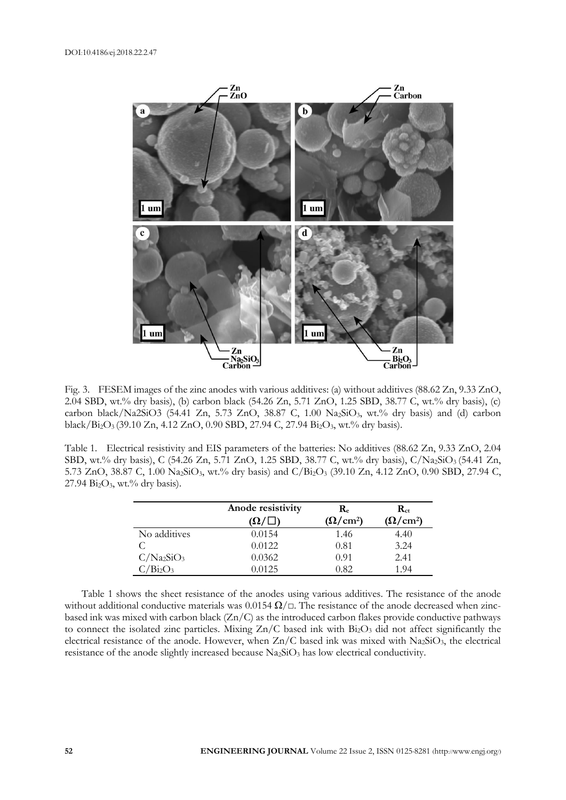

Fig. 3. FESEM images of the zinc anodes with various additives: (a) without additives (88.62 Zn, 9.33 ZnO, 2.04 SBD, wt.% dry basis), (b) carbon black (54.26 Zn, 5.71 ZnO, 1.25 SBD, 38.77 C, wt.% dry basis), (c) carbon black/Na2SiO3 (54.41 Zn, 5.73 ZnO, 38.87 C, 1.00 Na2SiO3, wt.% dry basis) and (d) carbon black/Bi2O<sup>3</sup> (39.10 Zn, 4.12 ZnO, 0.90 SBD, 27.94 C, 27.94 Bi2O3, wt.% dry basis).

Table 1. Electrical resistivity and EIS parameters of the batteries: No additives (88.62 Zn, 9.33 ZnO, 2.04 SBD, wt.% dry basis), C (54.26 Zn, 5.71 ZnO, 1.25 SBD, 38.77 C, wt.% dry basis), C/Na2SiO<sub>3</sub> (54.41 Zn, 5.73 ZnO, 38.87 C, 1.00 Na2SiO3, wt.% dry basis) and C/Bi2O<sup>3</sup> (39.10 Zn, 4.12 ZnO, 0.90 SBD, 27.94 C,  $27.94 \text{ Bi}_2\text{O}_3$ , wt.% dry basis).

|               | Anode resistivity | $\mathbf{R}_{e}$ | $\mathbf{R}_{\text{ct}}$ |
|---------------|-------------------|------------------|--------------------------|
|               | $(\Omega/\Box)$   | $(\Omega/cm^2)$  | $(\Omega/cm^2)$          |
| No additives  | 0.0154            | 1.46             | 4.40                     |
|               | 0.0122            | 0.81             | 3.24                     |
| $C/Na_2SiO_3$ | 0.0362            | 0.91             | 2.41                     |
| $C/Bi_2O_3$   | 0.0125            | 0.82             | 1.94                     |

Table 1 shows the sheet resistance of the anodes using various additives. The resistance of the anode without additional conductive materials was 0.0154  $\Omega/\square$ . The resistance of the anode decreased when zincbased ink was mixed with carbon black (Zn/C) as the introduced carbon flakes provide conductive pathways to connect the isolated zinc particles. Mixing  $Zn/C$  based ink with  $Bi_2O_3$  did not affect significantly the electrical resistance of the anode. However, when  $Zn/C$  based ink was mixed with Na2SiO<sub>3</sub>, the electrical resistance of the anode slightly increased because  $Na_2SiO_3$  has low electrical conductivity.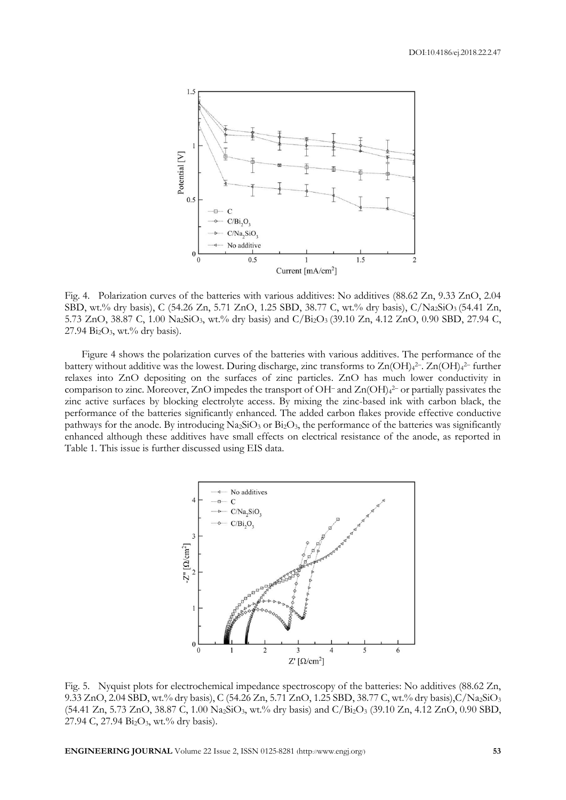

Fig. 4. Polarization curves of the batteries with various additives: No additives (88.62 Zn, 9.33 ZnO, 2.04 SBD, wt.% dry basis), C (54.26 Zn, 5.71 ZnO, 1.25 SBD, 38.77 C, wt.% dry basis), C/Na2SiO3 (54.41 Zn, 5.73 ZnO, 38.87 C, 1.00 Na2SiO3, wt.% dry basis) and C/Bi2O<sup>3</sup> (39.10 Zn, 4.12 ZnO, 0.90 SBD, 27.94 C,  $27.94$  Bi<sub>2</sub>O<sub>3</sub>, wt.% dry basis).

Figure 4 shows the polarization curves of the batteries with various additives. The performance of the battery without additive was the lowest. During discharge, zinc transforms to Zn(OH)4<sup>2-</sup>. Zn(OH)4<sup>2-</sup> further relaxes into ZnO depositing on the surfaces of zinc particles. ZnO has much lower conductivity in comparison to zinc. Moreover, ZnO impedes the transport of OH– and Zn(OH)<sup>4</sup> <sup>2</sup>– or partially passivates the zinc active surfaces by blocking electrolyte access. By mixing the zinc-based ink with carbon black, the performance of the batteries significantly enhanced. The added carbon flakes provide effective conductive pathways for the anode. By introducing Na<sub>2</sub>SiO<sub>3</sub> or Bi<sub>2</sub>O<sub>3</sub>, the performance of the batteries was significantly enhanced although these additives have small effects on electrical resistance of the anode, as reported in Table 1. This issue is further discussed using EIS data.



Fig. 5. Nyquist plots for electrochemical impedance spectroscopy of the batteries: No additives (88.62 Zn, 9.33 ZnO, 2.04 SBD, wt.% dry basis), C (54.26 Zn, 5.71 ZnO, 1.25 SBD, 38.77 C, wt.% dry basis),C/Na2SiO<sup>3</sup> (54.41 Zn, 5.73 ZnO, 38.87 C, 1.00 Na2SiO3, wt.% dry basis) and C/Bi2O<sup>3</sup> (39.10 Zn, 4.12 ZnO, 0.90 SBD, 27.94 C, 27.94 Bi<sub>2</sub>O<sub>3</sub>, wt.% dry basis).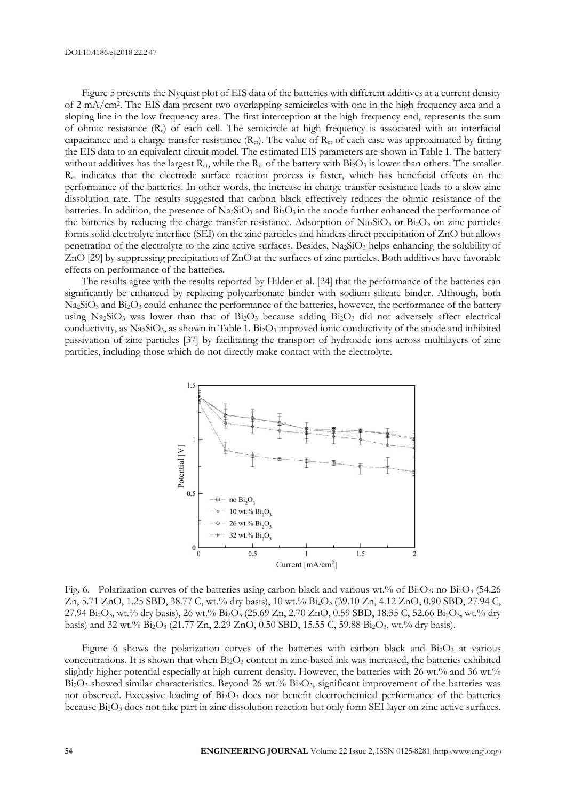Figure 5 presents the Nyquist plot of EIS data of the batteries with different additives at a current density of 2 mA/cm<sup>2</sup> . The EIS data present two overlapping semicircles with one in the high frequency area and a sloping line in the low frequency area. The first interception at the high frequency end, represents the sum of ohmic resistance  $(R_e)$  of each cell. The semicircle at high frequency is associated with an interfacial capacitance and a charge transfer resistance  $(R_{ct})$ . The value of  $R_{ct}$  of each case was approximated by fitting the EIS data to an equivalent circuit model. The estimated EIS parameters are shown in Table 1. The battery without additives has the largest  $R_{ct}$ , while the  $R_{ct}$  of the battery with  $Bi_2O_3$  is lower than others. The smaller Rct indicates that the electrode surface reaction process is faster, which has beneficial effects on the performance of the batteries. In other words, the increase in charge transfer resistance leads to a slow zinc dissolution rate. The results suggested that carbon black effectively reduces the ohmic resistance of the batteries. In addition, the presence of  $\text{Na}_2\text{SiO}_3$  and  $\text{Bi}_2\text{O}_3$  in the anode further enhanced the performance of the batteries by reducing the charge transfer resistance. Adsorption of Na<sub>2</sub>SiO<sub>3</sub> or Bi<sub>2</sub>O<sub>3</sub> on zinc particles forms solid electrolyte interface (SEI) on the zinc particles and hinders direct precipitation of ZnO but allows penetration of the electrolyte to the zinc active surfaces. Besides,  $Na<sub>2</sub>SiO<sub>3</sub>$  helps enhancing the solubility of ZnO [29] by suppressing precipitation of ZnO at the surfaces of zinc particles. Both additives have favorable effects on performance of the batteries.

The results agree with the results reported by Hilder et al. [24] that the performance of the batteries can significantly be enhanced by replacing polycarbonate binder with sodium silicate binder. Although, both Na<sub>2</sub>SiO<sub>3</sub> and Bi<sub>2</sub>O<sub>3</sub> could enhance the performance of the batteries, however, the performance of the battery using Na<sub>2</sub>SiO<sub>3</sub> was lower than that of  $Bi_2O_3$  because adding  $Bi_2O_3$  did not adversely affect electrical conductivity, as Na<sub>2</sub>SiO<sub>3</sub>, as shown in Table 1. Bi<sub>2</sub>O<sub>3</sub> improved ionic conductivity of the anode and inhibited passivation of zinc particles [37] by facilitating the transport of hydroxide ions across multilayers of zinc particles, including those which do not directly make contact with the electrolyte.



Fig. 6. Polarization curves of the batteries using carbon black and various wt.% of Bi2O3: no Bi2O3 (54.26 Zn, 5.71 ZnO, 1.25 SBD, 38.77 C, wt.% dry basis), 10 wt.% Bi2O<sup>3</sup> (39.10 Zn, 4.12 ZnO, 0.90 SBD, 27.94 C, 27.94 Bi2O3, wt.% dry basis), 26 wt.% Bi2O<sup>3</sup> (25.69 Zn, 2.70 ZnO, 0.59 SBD, 18.35 C, 52.66 Bi2O3, wt.% dry basis) and 32 wt.% Bi2O<sup>3</sup> (21.77 Zn, 2.29 ZnO, 0.50 SBD, 15.55 C, 59.88 Bi2O3, wt.% dry basis).

Figure 6 shows the polarization curves of the batteries with carbon black and  $Bi<sub>2</sub>O<sub>3</sub>$  at various concentrations. It is shown that when  $Bi<sub>2</sub>O<sub>3</sub>$  content in zinc-based ink was increased, the batteries exhibited slightly higher potential especially at high current density. However, the batteries with 26 wt.% and 36 wt.%  $Bi<sub>2</sub>O<sub>3</sub>$  showed similar characteristics. Beyond 26 wt.%  $Bi<sub>2</sub>O<sub>3</sub>$ , significant improvement of the batteries was not observed. Excessive loading of  $Bi<sub>2</sub>O<sub>3</sub>$  does not benefit electrochemical performance of the batteries because Bi2O<sup>3</sup> does not take part in zinc dissolution reaction but only form SEI layer on zinc active surfaces.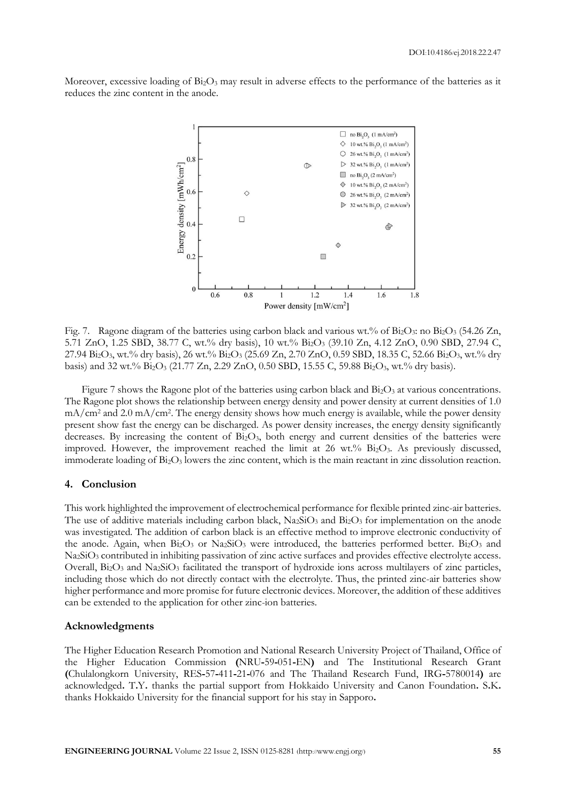Moreover, excessive loading of  $Bi_2O_3$  may result in adverse effects to the performance of the batteries as it reduces the zinc content in the anode.



Fig. 7. Ragone diagram of the batteries using carbon black and various wt.% of Bi<sub>2</sub>O<sub>3</sub>: no Bi<sub>2</sub>O<sub>3</sub> (54.26 Zn, 5.71 ZnO, 1.25 SBD, 38.77 C, wt.% dry basis), 10 wt.% Bi2O<sup>3</sup> (39.10 Zn, 4.12 ZnO, 0.90 SBD, 27.94 C, 27.94  $Bi_2O_3$ , wt.% dry basis), 26 wt.%  $Bi_2O_3$  (25.69 Zn, 2.70 ZnO, 0.59 SBD, 18.35 C, 52.66  $Bi_2O_3$ , wt.% dry basis) and 32 wt.%  $Bi_2O_3$  (21.77 Zn, 2.29 ZnO, 0.50 SBD, 15.55 C, 59.88  $Bi_2O_3$ , wt.% dry basis).

Figure 7 shows the Ragone plot of the batteries using carbon black and  $Bi<sub>2</sub>O<sub>3</sub>$  at various concentrations. The Ragone plot shows the relationship between energy density and power density at current densities of 1.0 mA/cm<sup>2</sup> and 2.0 mA/cm<sup>2</sup> . The energy density shows how much energy is available, while the power density present show fast the energy can be discharged. As power density increases, the energy density significantly decreases. By increasing the content of Bi2O3, both energy and current densities of the batteries were improved. However, the improvement reached the limit at 26 wt.% Bi2O3. As previously discussed, immoderate loading of Bi<sub>2</sub>O<sub>3</sub> lowers the zinc content, which is the main reactant in zinc dissolution reaction.

### **4. Conclusion**

This work highlighted the improvement of electrochemical performance for flexible printed zinc-air batteries. The use of additive materials including carbon black,  $Na_2SiO_3$  and  $Bi_2O_3$  for implementation on the anode was investigated. The addition of carbon black is an effective method to improve electronic conductivity of the anode. Again, when  $Bi_2O_3$  or  $Na_2SiO_3$  were introduced, the batteries performed better.  $Bi_2O_3$  and Na<sub>2</sub>SiO<sub>3</sub> contributed in inhibiting passivation of zinc active surfaces and provides effective electrolyte access. Overall,  $Bi_2O_3$  and  $Na_2SiO_3$  facilitated the transport of hydroxide ions across multilayers of zinc particles, including those which do not directly contact with the electrolyte. Thus, the printed zinc-air batteries show higher performance and more promise for future electronic devices. Moreover, the addition of these additives can be extended to the application for other zinc-ion batteries.

#### **Acknowledgments**

The Higher Education Research Promotion and National Research University Project of Thailand, Office of the Higher Education Commission **(**NRU**-**59**-**051**-**EN**)** and The Institutional Research Grant **(**Chulalongkorn University, RES**-**57**-**411**-**21**-**076 and The Thailand Research Fund, IRG**-**5780014**)** are acknowledged**.** T**.**Y**.** thanks the partial support from Hokkaido University and Canon Foundation**.** S**.**K**.**  thanks Hokkaido University for the financial support for his stay in Sapporo**.**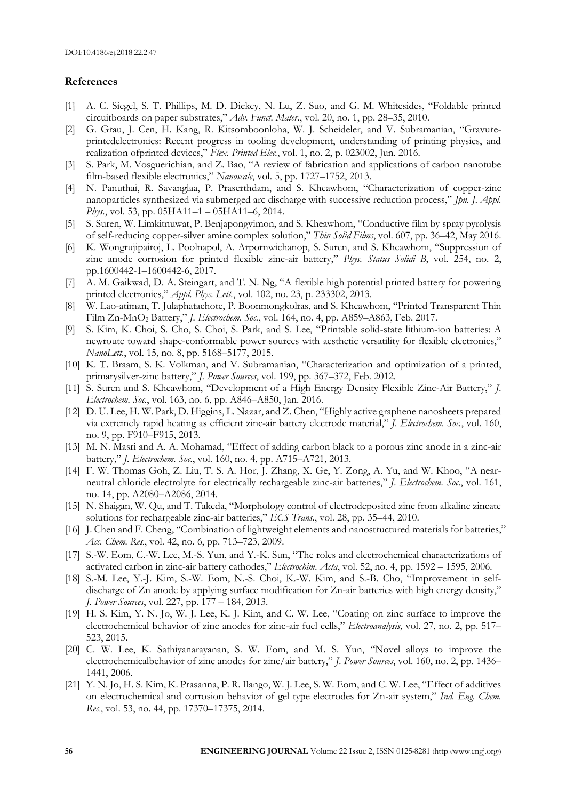## **References**

- [1] A. C. Siegel, S. T. Phillips, M. D. Dickey, N. Lu, Z. Suo, and G. M. Whitesides, "Foldable printed circuitboards on paper substrates," *Adv. Funct. Mater.*, vol. 20, no. 1, pp. 28–35, 2010.
- [2] G. Grau, J. Cen, H. Kang, R. Kitsomboonloha, W. J. Scheideler, and V. Subramanian, "Gravureprintedelectronics: Recent progress in tooling development, understanding of printing physics, and realization ofprinted devices," *Flex. Printed Elec.*, vol. 1, no. 2, p. 023002, Jun. 2016.
- [3] S. Park, M. Vosguerichian, and Z. Bao, "A review of fabrication and applications of carbon nanotube film-based flexible electronics," *Nanoscale*, vol. 5, pp. 1727–1752, 2013.
- [4] N. Panuthai, R. Savanglaa, P. Praserthdam, and S. Kheawhom, "Characterization of copper-zinc nanoparticles synthesized via submerged arc discharge with successive reduction process," *Jpn. J. Appl. Phys.*, vol. 53, pp. 05HA11–1 – 05HA11–6, 2014.
- [5] S. Suren, W. Limkitnuwat, P. Benjapongvimon, and S. Kheawhom, "Conductive film by spray pyrolysis of self-reducing copper-silver amine complex solution," *Thin Solid Films*, vol. 607, pp. 36–42, May 2016.
- [6] K. Wongrujipairoj, L. Poolnapol, A. Arpornwichanop, S. Suren, and S. Kheawhom, "Suppression of zinc anode corrosion for printed flexible zinc-air battery," *Phys. Status Solidi B*, vol. 254, no. 2, pp.1600442-1–1600442-6, 2017.
- [7] A. M. Gaikwad, D. A. Steingart, and T. N. Ng, "A flexible high potential printed battery for powering printed electronics," *Appl. Phys. Lett.*, vol. 102, no. 23, p. 233302, 2013.
- [8] W. Lao-atiman, T. Julaphatachote, P. Boonmongkolras, and S. Kheawhom, "Printed Transparent Thin Film Zn-MnO<sup>2</sup> Battery," *J. Electrochem. Soc.*, vol. 164, no. 4, pp. A859–A863, Feb. 2017.
- [9] S. Kim, K. Choi, S. Cho, S. Choi, S. Park, and S. Lee, "Printable solid-state lithium-ion batteries: A newroute toward shape-conformable power sources with aesthetic versatility for flexible electronics," *NanoLett.*, vol. 15, no. 8, pp. 5168–5177, 2015.
- [10] K. T. Braam, S. K. Volkman, and V. Subramanian, "Characterization and optimization of a printed, primarysilver-zinc battery," *J. Power Sources*, vol. 199, pp. 367–372, Feb. 2012.
- [11] S. Suren and S. Kheawhom, "Development of a High Energy Density Flexible Zinc-Air Battery," *J. Electrochem. Soc.*, vol. 163, no. 6, pp. A846–A850, Jan. 2016.
- [12] D. U. Lee, H. W. Park, D. Higgins, L. Nazar, and Z. Chen, "Highly active graphene nanosheets prepared via extremely rapid heating as efficient zinc-air battery electrode material," *J. Electrochem. Soc.*, vol. 160, no. 9, pp. F910–F915, 2013.
- [13] M. N. Masri and A. A. Mohamad, "Effect of adding carbon black to a porous zinc anode in a zinc-air battery," *J. Electrochem. Soc.*, vol. 160, no. 4, pp. A715–A721, 2013.
- [14] F. W. Thomas Goh, Z. Liu, T. S. A. Hor, J. Zhang, X. Ge, Y. Zong, A. Yu, and W. Khoo, "A nearneutral chloride electrolyte for electrically rechargeable zinc-air batteries," *J. Electrochem. Soc.*, vol. 161, no. 14, pp. A2080–A2086, 2014.
- [15] N. Shaigan, W. Qu, and T. Takeda, "Morphology control of electrodeposited zinc from alkaline zincate solutions for rechargeable zinc-air batteries," *ECS Trans.*, vol. 28, pp. 35–44, 2010.
- [16] J. Chen and F. Cheng, "Combination of lightweight elements and nanostructured materials for batteries," *Acc. Chem. Res.*, vol. 42, no. 6, pp. 713–723, 2009.
- [17] S.-W. Eom, C.-W. Lee, M.-S. Yun, and Y.-K. Sun, "The roles and electrochemical characterizations of activated carbon in zinc-air battery cathodes," *Electrochim. Acta*, vol. 52, no. 4, pp. 1592 – 1595, 2006.
- [18] S.-M. Lee, Y.-J. Kim, S.-W. Eom, N.-S. Choi, K.-W. Kim, and S.-B. Cho, "Improvement in selfdischarge of Zn anode by applying surface modification for Zn-air batteries with high energy density," *J. Power Sources*, vol. 227, pp. 177 – 184, 2013.
- [19] H. S. Kim, Y. N. Jo, W. J. Lee, K. J. Kim, and C. W. Lee, "Coating on zinc surface to improve the electrochemical behavior of zinc anodes for zinc-air fuel cells," *Electroanalysis*, vol. 27, no. 2, pp. 517– 523, 2015.
- [20] C. W. Lee, K. Sathiyanarayanan, S. W. Eom, and M. S. Yun, "Novel alloys to improve the electrochemicalbehavior of zinc anodes for zinc/air battery," *J. Power Sources*, vol. 160, no. 2, pp. 1436– 1441, 2006.
- [21] Y. N. Jo, H. S. Kim, K. Prasanna, P. R. Ilango, W. J. Lee, S. W. Eom, and C. W. Lee, "Effect of additives on electrochemical and corrosion behavior of gel type electrodes for Zn-air system," *Ind. Eng. Chem. Res.*, vol. 53, no. 44, pp. 17370–17375, 2014.